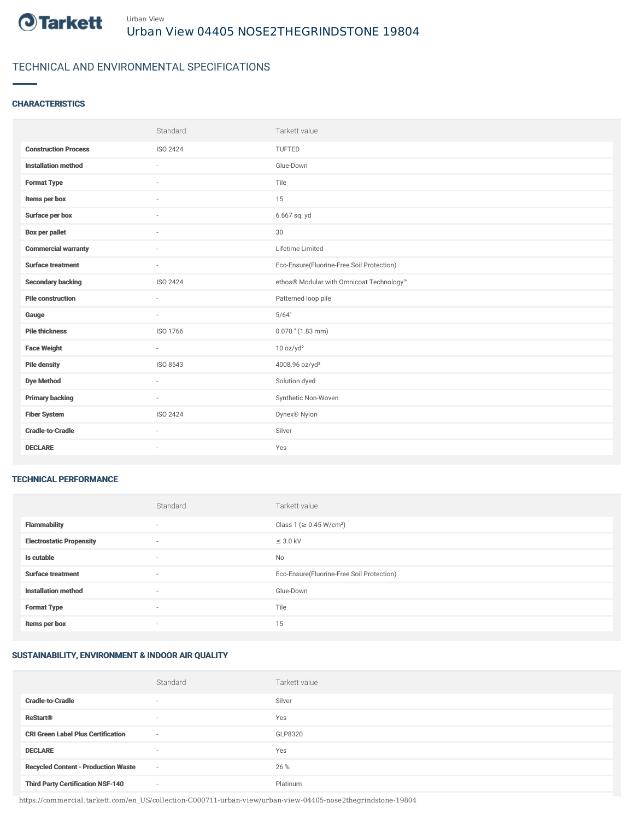

## TECHNICAL AND ENVIRONMENTAL SPECIFICATIONS

### **CHARACTERISTICS**

|                             | Standard | Tarkett value                             |
|-----------------------------|----------|-------------------------------------------|
| <b>Construction Process</b> | ISO 2424 | <b>TUFTED</b>                             |
| <b>Installation method</b>  | $\sim$   | Glue-Down                                 |
| <b>Format Type</b>          | ä,       | Tile                                      |
| Items per box               |          | 15                                        |
| Surface per box             | $\sim$   | 6.667 sq. yd                              |
| <b>Box per pallet</b>       | ×.       | 30                                        |
| <b>Commercial warranty</b>  | $\sim$   | Lifetime Limited                          |
| <b>Surface treatment</b>    | $\sim$   | Eco-Ensure(Fluorine-Free Soil Protection) |
| <b>Secondary backing</b>    | ISO 2424 | ethos® Modular with Omnicoat Technology™  |
| <b>Pile construction</b>    | $\sim$   | Patterned loop pile                       |
| Gauge                       |          | 5/64"                                     |
| <b>Pile thickness</b>       | ISO 1766 | $0.070$ " (1.83 mm)                       |
| <b>Face Weight</b>          | $\sim$   | 10 oz/yd <sup>2</sup>                     |
| <b>Pile density</b>         | ISO 8543 | 4008.96 oz/yd <sup>3</sup>                |
| <b>Dye Method</b>           | $\sim$   | Solution dyed                             |
| <b>Primary backing</b>      | $\sim$   | Synthetic Non-Woven                       |
| <b>Fiber System</b>         | ISO 2424 | Dynex® Nylon                              |
| <b>Cradle-to-Cradle</b>     | ×.       | Silver                                    |
| <b>DECLARE</b>              | $\sim$   | Yes                                       |

#### TECHNICAL PERFORMANCE

|                                 | Standard | Tarkett value                             |
|---------------------------------|----------|-------------------------------------------|
| <b>Flammability</b>             | $\sim$   | Class 1 (≥ 0.45 W/cm <sup>2</sup> )       |
| <b>Electrostatic Propensity</b> | $\sim$   | $\leq$ 3.0 kV                             |
| Is cutable                      | $\sim$   | No                                        |
| <b>Surface treatment</b>        | $\sim$   | Eco-Ensure(Fluorine-Free Soil Protection) |
| <b>Installation method</b>      | $\sim$   | Glue-Down                                 |
| <b>Format Type</b>              |          | Tile                                      |
| Items per box                   | $\sim$   | 15                                        |

# SUSTAINABILITY, ENVIRONMENT & INDOOR AIR QUALITY

|                                            | Standard                 | Tarkett value |
|--------------------------------------------|--------------------------|---------------|
| <b>Cradle-to-Cradle</b>                    | $\overline{\phantom{a}}$ | Silver        |
| <b>ReStart®</b>                            | $\overline{\phantom{a}}$ | Yes           |
| <b>CRI Green Label Plus Certification</b>  | $\overline{\phantom{a}}$ | GLP8320       |
| <b>DECLARE</b>                             | $\overline{\phantom{a}}$ | Yes           |
| <b>Recycled Content - Production Waste</b> | $\sim$                   | 26 %          |
| <b>Third Party Certification NSF-140</b>   | $\overline{\phantom{a}}$ | Platinum      |

https://commercial.tarkett.com/en\_US/collection-C000711-urban-view/urban-view-04405-nose2thegrindstone-19804